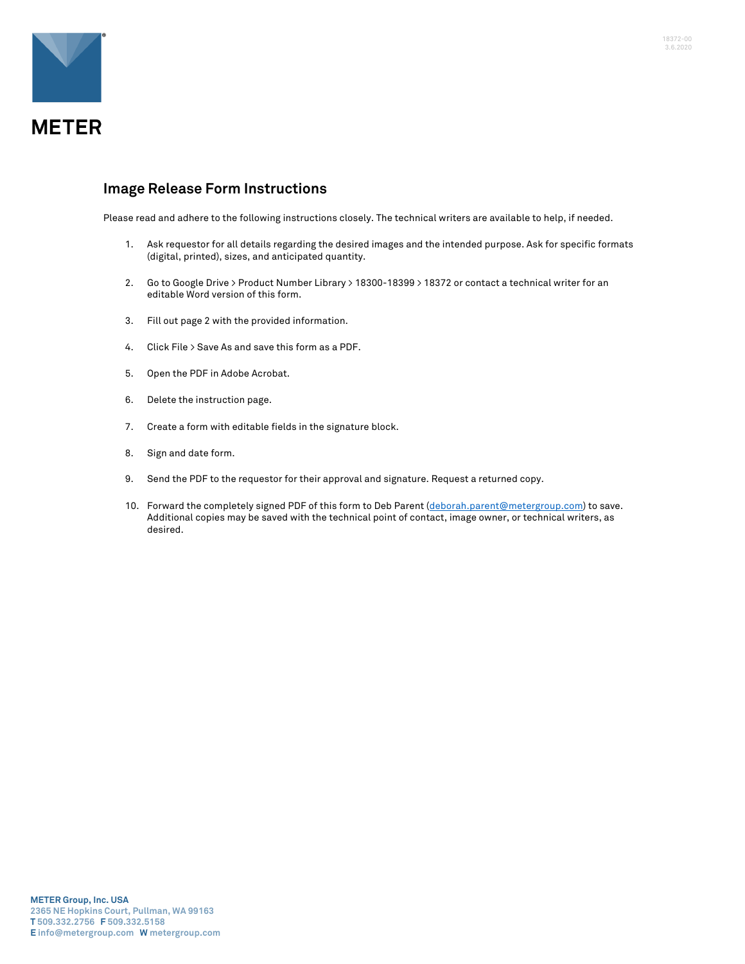

## **Image Release Form Instructions**

Please read and adhere to the following instructions closely. The technical writers are available to help, if needed.

- 1. Ask requestor for all details regarding the desired images and the intended purpose. Ask for specific formats (digital, printed), sizes, and anticipated quantity.
- 2. Go to Google Drive > Product Number Library > 18300-18399 > 18372 or contact a technical writer for an editable Word version of this form.
- 3. Fill out page 2 with the provided information.
- 4. Click File > Save As and save this form as a PDF.
- 5. Open the PDF in Adobe Acrobat.
- 6. Delete the instruction page.
- 7. Create a form with editable fields in the signature block.
- 8. Sign and date form.
- 9. Send the PDF to the requestor for their approval and signature. Request a returned copy.
- 10. Forward the completely signed PDF of this form to Deb Parent (deborah.parent@metergroup.com) to save. Additional copies may be saved with the technical point of contact, image owner, or technical writers, as desired.